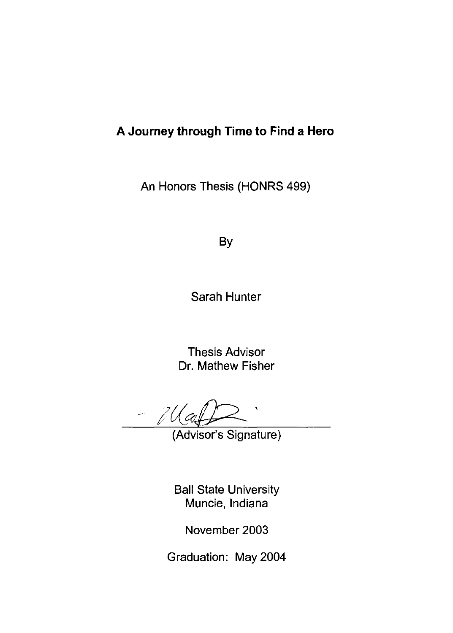#### **A Journey through Time to Find a Hero**

An Honors Thesis (HONRS 499)

By

Sarah Hunter

Thesis Advisor Dr. Mathew Fisher

- 70

(Advisor's Signature)

Ball State University Muncie, Indiana

November 2003

Graduation: May 2004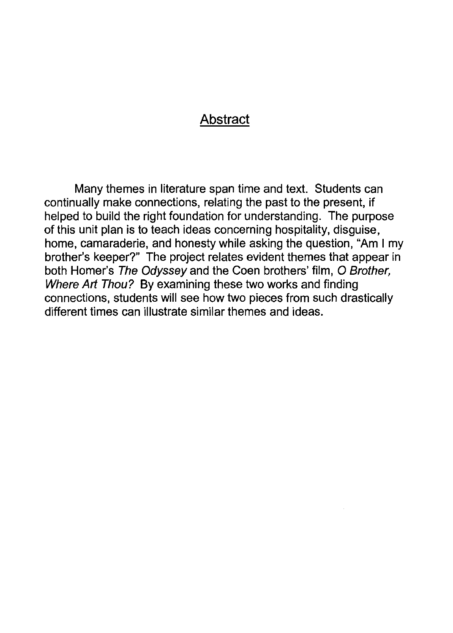#### Abstract

Many themes in literature span time and text. Students can continually make connections, relating the past to the present, if helped to build the right foundation for understanding. The purpose of this unit plan is to teach ideas concerning hospitality, disguise, home, camaraderie, and honesty while asking the question, "Am I my brother's keeper?" The project relates evident themes that appear in both Homer's The Odyssey and the Coen brothers' film, O Brother, Where Art Thou? By examining these two works and finding connections, students will see how two pieces from such drastically different times can illustrate similar themes and ideas.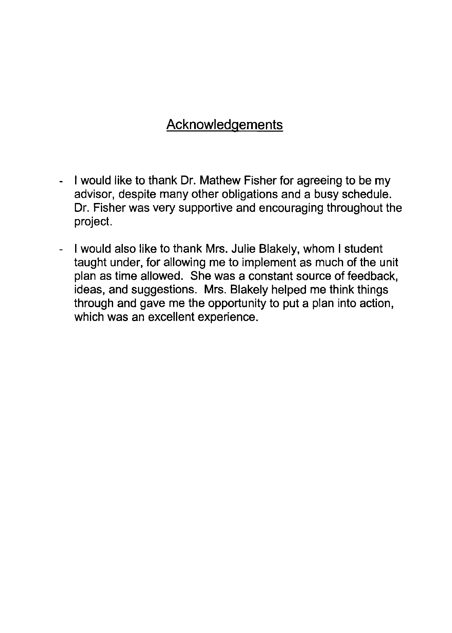## Acknowledgements

- I would like to thank Dr. Mathew Fisher for agreeing to be my advisor, despite many other obligations and a busy schedule. Dr. Fisher was very supportive and encouraging throughout the project.
- I would also like to thank Mrs. Julie Blakely, whom I student taught under, for allowing me to implement as much of the unit plan as time allowed. She was a constant source of feedback, ideas, and suggestions. Mrs. Blakely helped me think things through and gave me the opportunity to put a plan into action, which was an excellent experience.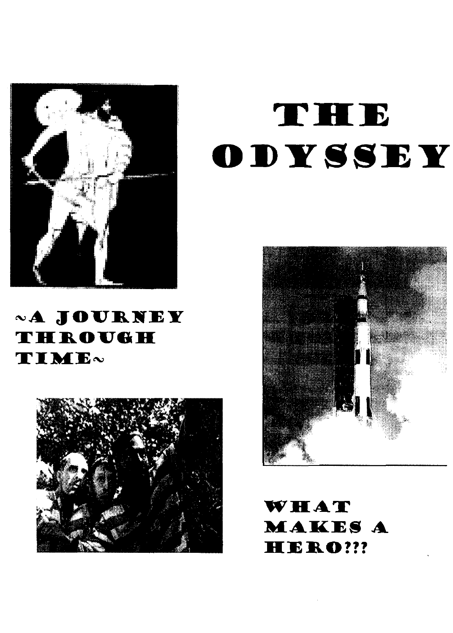

# «A JOURNEY THROUGH TIME~



# THE ODYSSEY



WHAT **MAKES A** HERO ???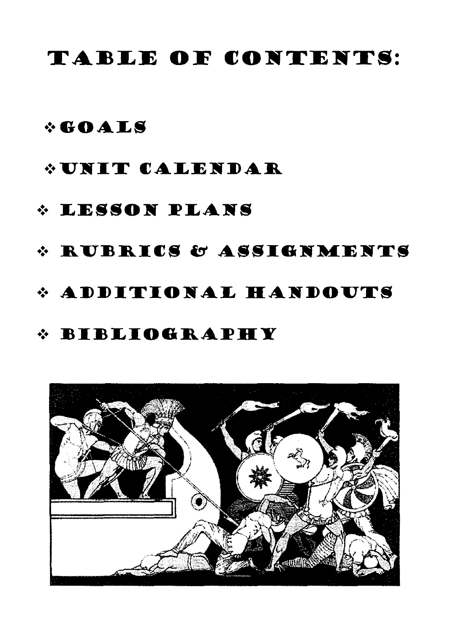# TABLE OF CONTENTS:

## $\div$ GOALS

## **\* UNIT CALENDAR**

# **\* LESSON PLANS**

## \* RUBRICS & ASSIGNMENTS

# \* ADDITIONAL HANDOUTS

## *<b><i><u><b>\*BIBLIOGRAPHY*</u>

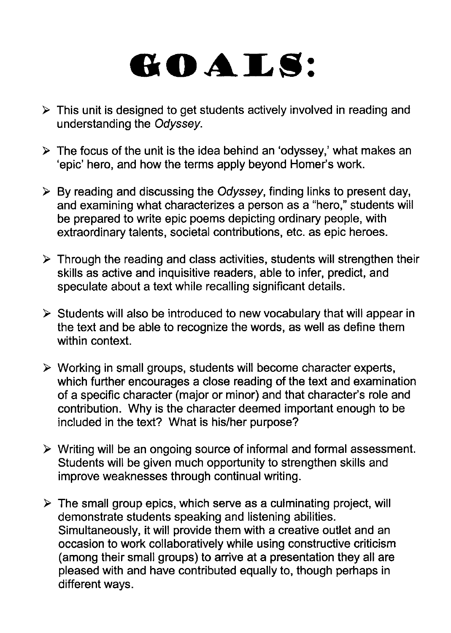# **GOALS:**

- $\triangleright$  This unit is designed to get students actively involved in reading and understanding the Odyssey.
- $\triangleright$  The focus of the unit is the idea behind an 'odyssey,' what makes an 'epic' hero, and how the terms apply beyond Homer's work.
- $\triangleright$  By reading and discussing the Odyssey, finding links to present day, and examining what characterizes a person as a "hero," students will be prepared to write epic poems depicting ordinary people, with extraordinary talents, societal contributions, etc. as epic heroes.
- $\triangleright$  Through the reading and class activities, students will strengthen their skills as active and inquisitive readers, able to infer, predict, and speculate about a text while recalling significant details.
- $\triangleright$  Students will also be introduced to new vocabulary that will appear in the text and be able to recognize the words, as well as define them within context.
- $\triangleright$  Working in small groups, students will become character experts, which further encourages a close reading of the text and examination of a specific character (major or minor) and that character's role and contribution. Why is the character deemed important enough to be included in the text? What is his/her purpose?
- $\triangleright$  Writing will be an ongoing source of informal and formal assessment. Students will be given much opportunity to strengthen skills and improve weaknesses through continual writing.
- $\triangleright$  The small group epics, which serve as a culminating project, will demonstrate students speaking and listening abilities. Simultaneously, it will provide them with a creative outlet and an occasion to work collaboratively while using constructive criticism (among their small groups) to arrive at a presentation they all are pleased with and have contributed equally to, though perhaps in different ways.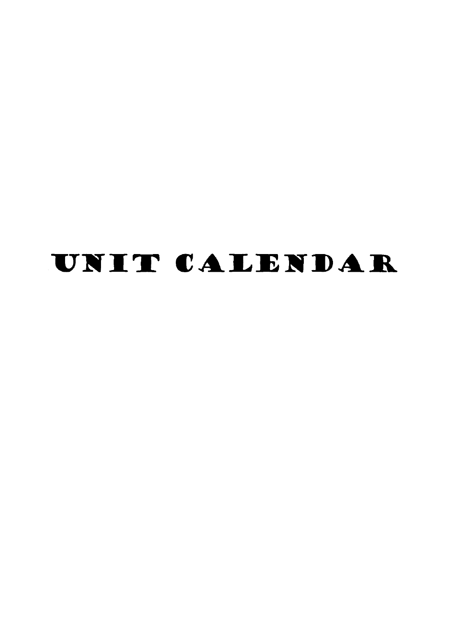# UNIT CALENDAR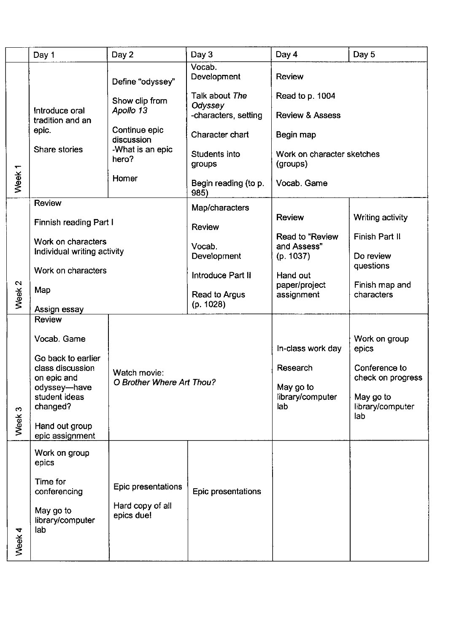|                   | Day 1                                             | Day 2                                     | Day 3                                   | Day 4                                   | Day 5                                |
|-------------------|---------------------------------------------------|-------------------------------------------|-----------------------------------------|-----------------------------------------|--------------------------------------|
|                   |                                                   | Define "odyssey"                          | Vocab.<br>Development                   | <b>Review</b>                           |                                      |
|                   | Introduce oral                                    | Show clip from<br>Apollo 13               | Talk about The<br>Odyssey               | Read to p. 1004                         |                                      |
|                   | tradition and an<br>epic.                         | Continue epic                             | -characters, setting<br>Character chart | <b>Review &amp; Assess</b><br>Begin map |                                      |
|                   | Share stories                                     | discussion<br>-What is an epic<br>hero?   | Students into<br>groups                 | Work on character sketches<br>(groups)  |                                      |
| Week <sub>1</sub> |                                                   | Homer                                     | Begin reading (to p.<br>985)            | Vocab. Game                             |                                      |
|                   | Review                                            |                                           | Map/characters                          | <b>Review</b>                           | Writing activity                     |
|                   | Finnish reading Part I                            |                                           | <b>Review</b>                           | Read to "Review                         | Finish Part II                       |
|                   | Work on characters<br>Individual writing activity |                                           | Vocab.<br>Development                   | and Assess"<br>(p. 1037)                | Do review                            |
|                   | Work on characters                                |                                           | Introduce Part II                       | Hand out<br>paper/project               | questions<br>Finish map and          |
| Week <sub>2</sub> | Map                                               |                                           | Read to Argus<br>(p. 1028)              | assignment                              | characters                           |
|                   | Assign essay<br><b>Review</b>                     |                                           |                                         |                                         |                                      |
|                   | Vocab. Game<br>Go back to earlier                 |                                           |                                         | In-class work day                       | Work on group<br>epics               |
|                   | class discussion<br>on epic and                   | Watch movie:<br>O Brother Where Art Thou? |                                         | Research                                | Conference to<br>check on progress   |
| 3                 | odyssey-have<br>student ideas<br>changed?         |                                           |                                         | May go to<br>library/computer<br>lab    | May go to<br>library/computer<br>lab |
| 꼯<br>Š            | Hand out group<br>epic assignment                 |                                           |                                         |                                         |                                      |
|                   | Work on group<br>epics                            |                                           |                                         |                                         |                                      |
|                   | Time for<br>conferencing                          | Epic presentations                        | Epic presentations                      |                                         |                                      |
| Week <sub>4</sub> | May go to<br>library/computer<br>lab              | Hard copy of all<br>epics due!            |                                         |                                         |                                      |
|                   |                                                   |                                           |                                         |                                         |                                      |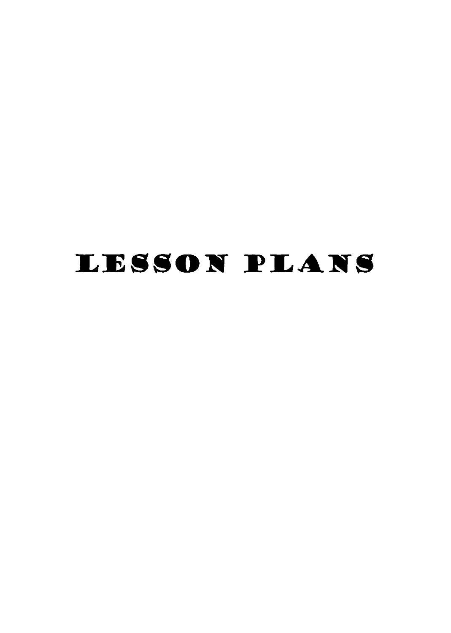# LESSON FLANS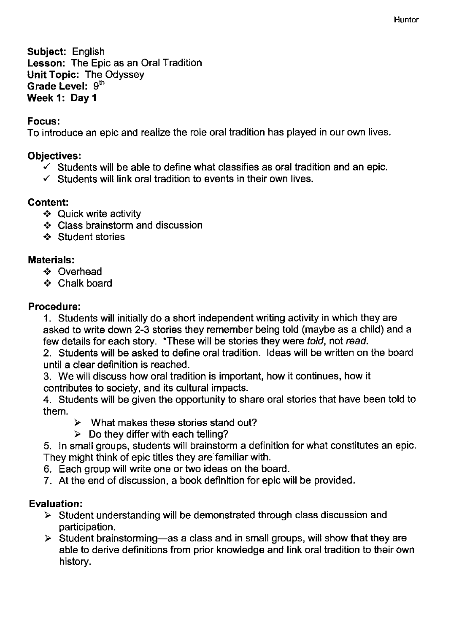Subject: English Lesson: The Epic as an Oral Tradition Unit Topic: The Odyssey Grade Level: 9th Week 1: Day 1

#### Focus:

To introduce an epic and realize the role oral tradition has played in our own lives.

#### Objectives:

- $\checkmark$  Students will be able to define what classifies as oral tradition and an epic.
- $\checkmark$  Students will link oral tradition to events in their own lives.

#### Content:

- .:. Quick write activity
- $\div$  Class brainstorm and discussion
- .:. Student stories

#### Materials:

- .:. Overhead
- .:. Chalk board

#### Procedure:

1. Students will initially do a short independent writing activity in which they are asked to write down 2-3 stories they remember being told (maybe as a child) and a few details for each story. \*These will be stories they were told, not read.

2. Students will be asked to define oral tradition. Ideas will be written on the board until a clear definition is reached.

3. We will discuss how oral tradition is important, how it continues, how it contributes to society, and its cultural impacts.

4. Students will be given the opportunity to share oral stories that have been told to them.

- $\triangleright$  What makes these stories stand out?
- $\triangleright$  Do they differ with each telling?

5. In small groups, students will brainstorm a definition for what constitutes an epic. They might think of epic titles they are familiar with.

- 6. Each group will write one or two ideas on the board.
- 7. At the end of discussion, a book definition for epic will be provided.

- $\triangleright$  Student understanding will be demonstrated through class discussion and participation.
- $\triangleright$  Student brainstorming—as a class and in small groups, will show that they are able to derive definitions from prior knowledge and link oral tradition to their own history.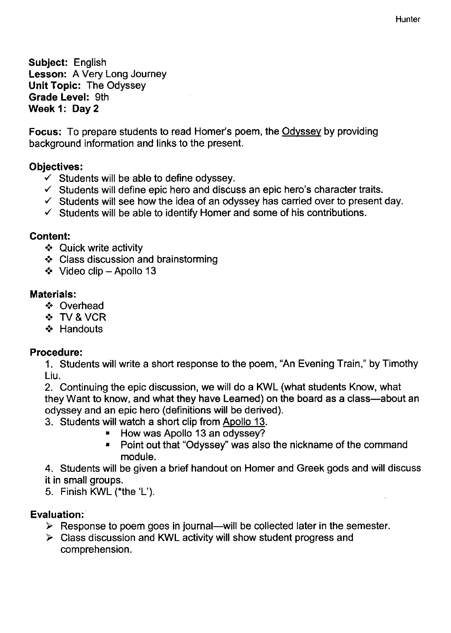Subject: English Lesson: A Very Long Journey Unit Topic: The Odyssey Grade Level: 9th Week 1: Day 2

Focus: To prepare students to read Homer's poem, the Odyssey by providing background information and links to the present.

#### Objectives:

- $\checkmark$  Students will be able to define odyssey.
- $\checkmark$  Students will define epic hero and discuss an epic hero's character traits.
- $\checkmark$  Students will see how the idea of an odyssey has carried over to present day.
- $\checkmark$  Students will be able to identify Homer and some of his contributions.

#### Content:

- ❖ Quick write activity
- .:. Class discussion and brainstorming
- $\div$  Video clip Apollo 13

#### Materials:

- .:. Overhead
- .:. TV & VCR
- ❖ Handouts

#### Procedure:

1. Students will write a short response to the poem, "An Evening Train," by Timothy Liu.

2. Continuing the epic discussion, we will do a KWL (what students Know, what they Want to know, and what they have Learned) on the board as a class—about an odyssey and an epic hero (definitions will be derived).

- 3. Students will watch a short clip from Apollo 13.
	- How was Apollo 13 an odyssey?
	- Point out that "Odyssey" was also the nickname of the command module.

4. Students will be given a brief handout on Homer and Greek gods and will discuss it in small groups.

5. Finish KWL «the 'L').

- $\triangleright$  Response to poem goes in journal—will be collected later in the semester.
- $\triangleright$  Class discussion and KWL activity will show student progress and comprehension.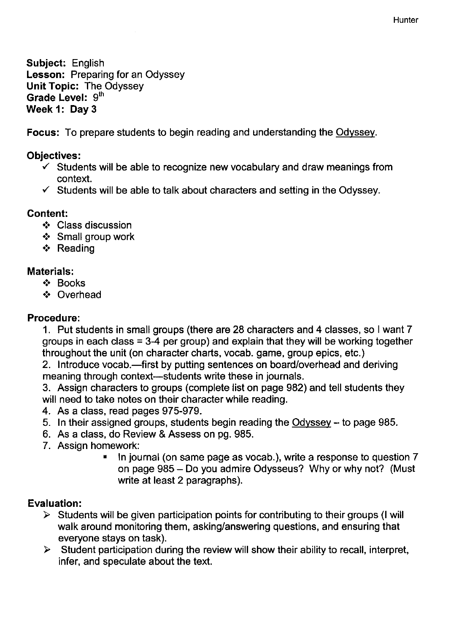**Hunter** 

Subject: English Lesson: Preparing for an Odyssey Unit Topic: The Odyssey Grade Level: 9<sup>th</sup> Week 1: Dav 3

Focus: To prepare students to begin reading and understanding the Odyssey.

#### Objectives:

- $\checkmark$  Students will be able to recognize new vocabulary and draw meanings from context .
- $\checkmark$  Students will be able to talk about characters and setting in the Odyssey.

#### Content:

- .:. Class discussion
- .:. Small group work
- ❖ Reading

#### Materials:

- .:. Books
- .:. Overhead

#### Procedure:

1. Put students in small groups (there are 28 characters and 4 classes, so I want 7 groups in each class = 3-4 per group) and explain that they will be working together throughout the unit (on character charts, vocab. game, group epics, etc.)

2. Introduce vocab.—first by putting sentences on board/overhead and deriving meaning through context—students write these in journals.

3. Assign characters to groups (complete list on page 982) and tell students they will need to take notes on their character while reading.

- 4. As a class, read pages 975-979.
- 5. In their assigned groups, students begin reading the Odyssey to page 985.
- 6. As a class, do Review & Assess on pg. 985.
- 7. Assign homework:
	- In journal (on same page as vocab.), write a response to question 7 on page 985 - Do you admire Odysseus? Why or why not? (Must write at least 2 paragraphs).

- $\triangleright$  Students will be given participation points for contributing to their groups (I will walk around monitoring them, asking/answering questions, and ensuring that everyone stays on task).
- $\triangleright$  Student participation during the review will show their ability to recall, interpret, infer, and speculate about the text.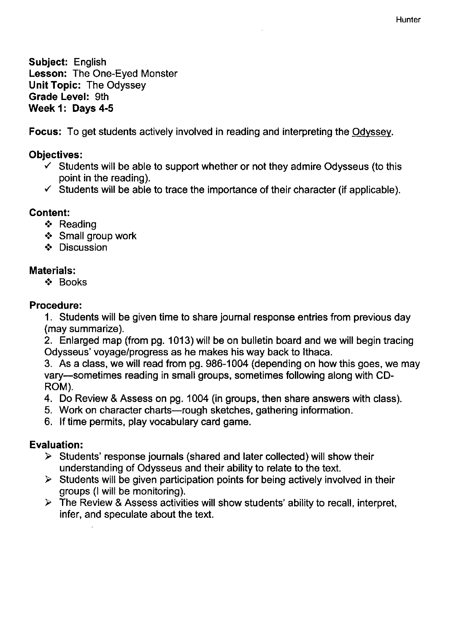Hunter

Subject: English Lesson: The One-Eyed Monster Unit Topic: The Odyssey Grade Level: 9th Week 1: Days 4-5

Focus: To get students actively involved in reading and interpreting the Odyssey.

#### Objectives:

- $\checkmark$  Students will be able to support whether or not they admire Odysseus (to this point in the reading).
- $\checkmark$  Students will be able to trace the importance of their character (if applicable).

#### Content:

- ❖ Reading
- .:. Small group work
- ❖ Discussion

#### Materials:

.:. Books

#### Procedure:

1. Students will be given time to share journal response entries from previous day (may summarize).

2. Enlarged map (from pg. 1013) will be on bulletin board and we will begin tracing Odysseus' voyage/progress as he makes his way back to Ithaca.

3. As a class, we will read from pg. 986-1004 (depending on how this goes, we may vary-sometimes reading in small groups, sometimes following along with CD-ROM).

4. Do Review & Assess on pg. 1004 (in groups, then share answers with class).

- 5. Work on character charts-rough sketches, gathering information.
- 6. If time permits, play vocabulary card game.

- $\triangleright$  Students' response journals (shared and later collected) will show their understanding of Odysseus and their ability to relate to the text.
- $\triangleright$  Students will be given participation points for being actively involved in their groups (I will be monitoring).
- $\triangleright$  The Review & Assess activities will show students' ability to recall, interpret, infer, and speculate about the text.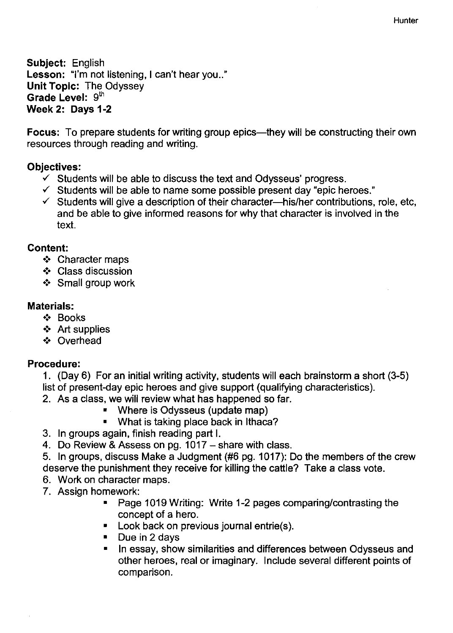Subject: English Lesson: "I'm not listening, I can't hear you.." Unit Topic: The Odyssey Grade Level:  $9<sup>th</sup>$ Week 2: Days 1-2

Focus: To prepare students for writing group epics—they will be constructing their own resources through reading and writing.

#### Objectives:

- $\checkmark$  Students will be able to discuss the text and Odysseus' progress.
- $\checkmark$  Students will be able to name some possible present day "epic heroes."
- $\checkmark$  Students will give a description of their character-his/her contributions, role, etc, and be able to give informed reasons for why that character is involved in the text.

#### Content:

- ❖ Character maps
- .:. Class discussion
- .:. Small group work

#### Materials:

- .:. Books
- $\div$  Art supplies
- .:. Overhead

#### Procedure:

- 1. (Day 6) For an initial writing activity, students will each brainstorm a short (3-5) list of present-day epic heroes and give support (qualifying characteristics).
- 2. As a class, we will review what has happened so far.
	- Where is Odysseus (update map)
	- What is taking place back in Ithaca?
- 3. In groups again, finish reading part I.
- 4. Do Review & Assess on pg. 1017 share with class.
- 5. In groups, discuss Make a Judgment (#6 pg. 1017): Do the members of the crew deserve the punishment they receive for killing the cattle? Take a class vote.
- 6. Work on character maps.
- 7. Assign homework:
	- Page 1019 Writing: Write 1-2 pages comparing/contrasting the concept of a hero.
	- **-** Look back on previous journal entrie(s).
	- $\blacksquare$  Due in 2 days
	- In essay, show similarities and differences between Odysseus and other heroes, real or imaginary. Include several different points of comparison.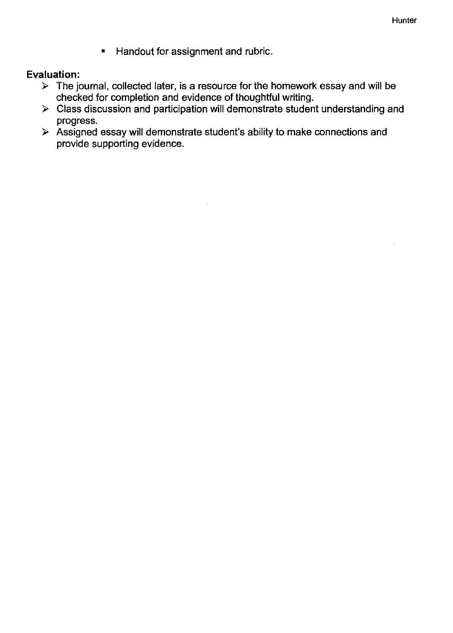• Handout for assignment and rubric.

- $\triangleright$  The journal, collected later, is a resource for the homework essay and will be checked for completion and evidence of thoughtful writing.
- $\triangleright$  Class discussion and participation will demonstrate student understanding and progress.
- > Assigned essay will demonstrate student's ability to make connections and provide supporting evidence.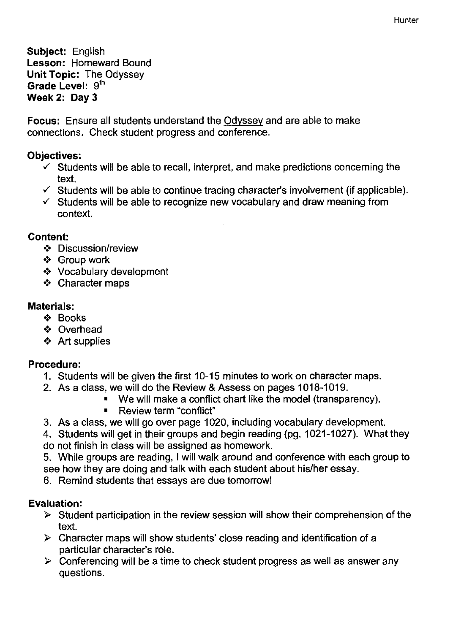Subject: English Lesson: Homeward Bound Unit Topic: The Odyssey Grade Level: 9<sup>th</sup> Week 2: Day 3

Focus: Ensure all students understand the Odyssey and are able to make connections. Check student progress and conference.

#### Objectives:

- $\checkmark$  Students will be able to recall, interpret, and make predictions concerning the text.
- $\checkmark$  Students will be able to continue tracing character's involvement (if applicable).
- $\checkmark$  Students will be able to recognize new vocabulary and draw meaning from context.

#### Content:

- .:. Discussion/review
- .:. Group work
- .:. Vocabulary development
- .:. Character maps

#### Materials:

- .:. Books
- .:. Overhead
- ❖ Art supplies

#### Procedure:

- 1. Students will be given the first 10-15 minutes to work on character maps.
- 2. As a class, we will do the Review & Assess on pages 1018-1019.
	- We will make a conflict chart like the model (transparency).
	- Review term "conflict"
- 3. As a class, we will go over page 1020, including vocabulary development.
- 4. Students will get in their groups and begin reading (pg. 1021-1027). What they do not finish in class will be assigned as homework.
- 5. While groups are reading, I will walk around and conference with each group to see how they are doing and talk with each student about his/her essay.
- 6. Remind students that essays are due tomorrow!

- $\triangleright$  Student participation in the review session will show their comprehension of the text.
- $\triangleright$  Character maps will show students' close reading and identification of a particular character's role.
- $\triangleright$  Conferencing will be a time to check student progress as well as answer any questions.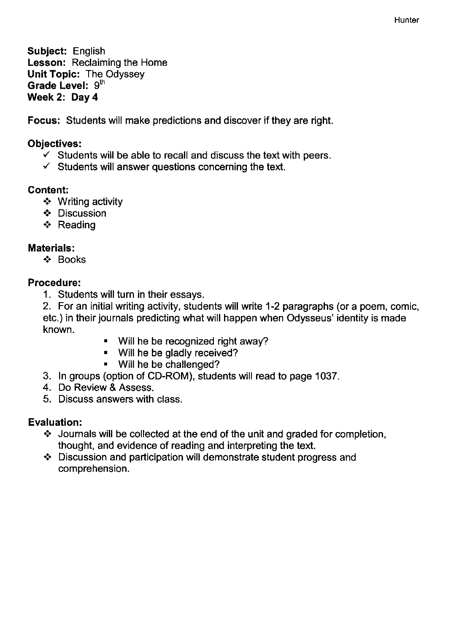Subject: English Lesson: Reclaiming the Home Unit Topic: The Odyssey Grade Level: 9th Week 2: Day 4

Focus: Students will make predictions and discover if they are right.

#### Objectives:

- $\checkmark$  Students will be able to recall and discuss the text with peers.
- $\checkmark$  Students will answer questions concerning the text.

#### Content:

- ❖ Writing activity
- .:. Discussion
- ❖ Reading

#### Materials:

.:. Books

#### Procedure:

1. Students will turn in their essays.

2. For an initial writing activity, students will write 1-2 paragraphs (or a poem, comic, etc.) in their journals predicting what will happen when Odysseus' identity is made known.

- Will he be recognized right away?
- Will he be gladly received?
- Will he be challenged?
- 3. In groups (option of CD-ROM), students will read to page 1037.
- 4. Do Review & Assess.
- 5. Discuss answers with class.

- $\cdot$  Journals will be collected at the end of the unit and graded for completion, thought, and evidence of reading and interpreting the text.
- $\div$  Discussion and participation will demonstrate student progress and comprehension.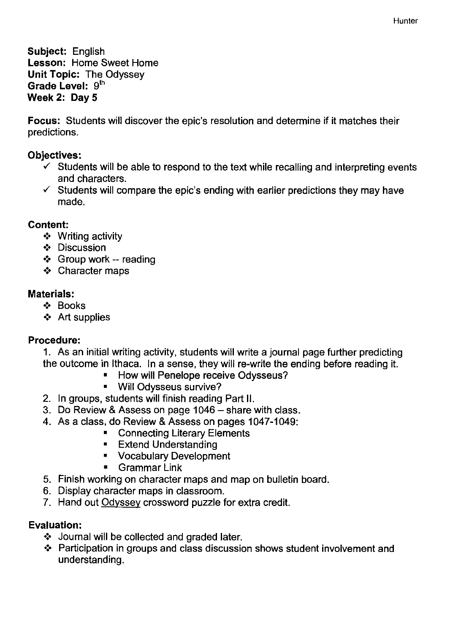Subject: English Lesson: Home Sweet Home Unit Topic: The Odyssey Grade Level: 9th Week 2: Day 5

Focus: Students will discover the epic's resolution and determine if it matches their predictions.

#### Objectives:

- $\checkmark$  Students will be able to respond to the text while recalling and interpreting events and characters.
- $\checkmark$  Students will compare the epic's ending with earlier predictions they may have made.

#### Content:

- .:. Writing activity
- ❖ Discussion
- ❖ Group work -- reading
- .:. Character maps

#### Materials:

- .:. Books
- ❖ Art supplies

#### Procedure:

1. As an initial writing activity, students will write a journal page further predicting the outcome in Ithaca. In a sense, they will re-write the ending before reading it.

- **E** How will Penelope receive Odysseus?
- **Will Odysseus survive?**
- 2. In groups, students will finish reading Part II.
- 3. Do Review & Assess on page 1046 share with class.
- 4. As a class, do Review & Assess on pages 1047-1049:
	- **Exercise Connecting Literary Elements**
	- **Extend Understanding**
	- Vocabulary Development
	- **Grammar Link**
- 5. Finish working on character maps and map on bulletin board.
- 6. Display character maps in classroom.
- 7. Hand out Odyssey crossword puzzle for extra credit.

- ❖ Journal will be collected and graded later.
- ❖ Participation in groups and class discussion shows student involvement and understanding.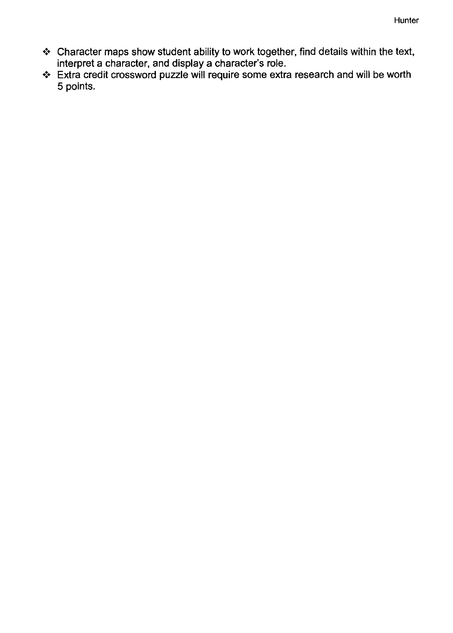- $\bm{\hat{v}}$  . Character maps show student ability to work together, find details within the text, interpret a character, and display a character's role .
- ❖ Extra credit crossword puzzle will require some extra research and will be worth 5 points.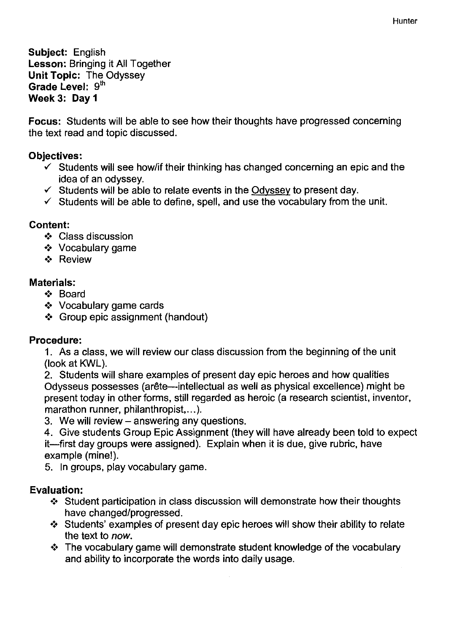**Hunter** 

Subject: English Lesson: Bringing it All Together Unit Topic: The Odyssey Grade Level: 9th Week 3: Day 1

Focus: Students will be able to see how their thoughts have progressed concerning the text read and topic discussed.

#### Objectives:

- $\checkmark$  Students will see how/if their thinking has changed concerning an epic and the idea of an odyssey.
- $\checkmark$  Students will be able to relate events in the Odyssey to present day.
- $\checkmark$  Students will be able to define, spell, and use the vocabulary from the unit.

#### Content:

- .:. Class discussion
- .:. Vocabulary game
- .:. Review

#### Materials:

- .:. Board
- .:. Vocabulary game cards
- .:. Group epic assignment (handout)

#### Procedure:

1. As a class, we will review our class discussion from the beginning of the unit (look at KWL).

2. Students will share examples of present day epic heroes and how qualities Odysseus possesses (arête--intellectual as well as physical excellence) might be present today in other forms, still regarded as heroic (a research scientist, inventor, marathon runner, philanthropist....).

- 3. We will review answering any questions.
- 4. Give students Group Epic Assignment (they will have already been told to expect

it-first day groups were assigned). Explain when it is due, give rubric, have example (mine!).

5. In groups, play vocabulary game.

- $\cdot$  Student participation in class discussion will demonstrate how their thoughts have changed/progressed.
- $\triangle$  Students' examples of present day epic heroes will show their ability to relate the text to *now .*
- $\cdot$  The vocabulary game will demonstrate student knowledge of the vocabulary and ability to incorporate the words into daily usage.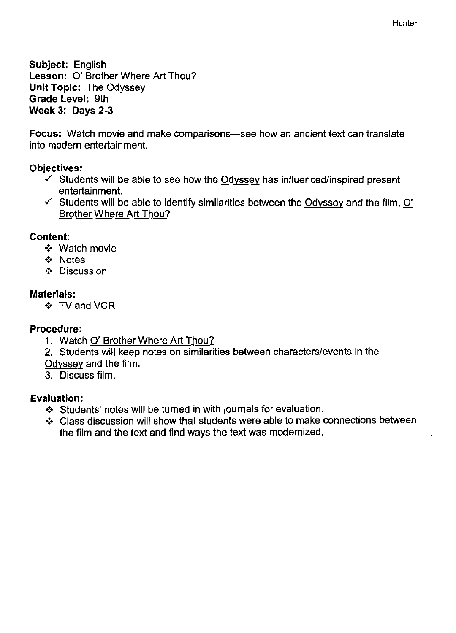**Hunter** 

Subject: English Lesson: 0' Brother Where Art Thou? Unit Topic: The Odyssey Grade Level: 9th Week 3: Days 2-3

Focus: Watch movie and make comparisons—see how an ancient text can translate into modern entertainment.

#### Objectives:

- $\checkmark$  Students will be able to see how the Odyssey has influenced/inspired present entertainment.
- $\checkmark$  Students will be able to identify similarities between the Odyssey and the film, O' Brother Where Art Thou?

#### Content:

- .:. Watch movie
- .:. Notes
- .:. Discussion

#### Materials:

❖ TV and VCR

#### Procedure:

- 1. Watch 0' Brother Where Art Thou?
- 2. Students will keep notes on similarities between characters/events in the Odyssey and the film.
- 3. Discuss film.

- ❖ Students' notes will be turned in with journals for evaluation.
- Class discussion will show that students were able to make connections between the film and the text and find ways the text was modernized.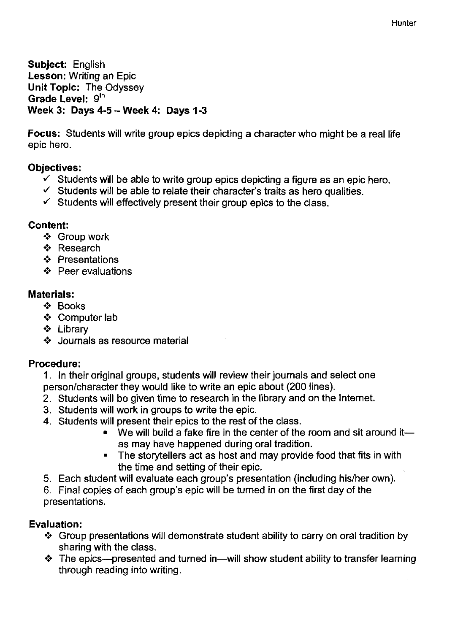Subject: English Lesson: Writing an Epic Unit Topic: The Odyssey Grade Level: 9<sup>th</sup> Week 3: Days 4-5 - Week 4: Days 1-3

Focus: Students will write group epics depicting a character who might be a real life epic hero.

#### Objectives:

- $\checkmark$  Students will be able to write group epics depicting a figure as an epic hero.
- $\checkmark$  Students will be able to relate their character's traits as hero qualities.
- $\checkmark$  Students will effectively present their group epics to the class.

#### Content:

- .:. Group work
- ❖ Research
- .:. Presentations
- ❖: Peer evaluations

#### Materials:

- .:. Books
- ❖ Computer lab
- .:. Library
- .:. Journals as resource material

#### Procedure:

- 1. In their original groups, students will review their journals and select one person/character they would like to write an epic about (200 lines).
- 2. Students will be given time to research in the library and on the Internet.
- 3. Students will work in groups to write the epic.
- 4. Students will present their epics to the rest of the class.
	- We will build a fake fire in the center of the room and sit around itas may have happened during oral tradition.
	- The storytellers act as host and may provide food that fits in with the time and setting of their epic.
- 5. Each student will evaluate each group's presentation (including his/her own).
- 6. Final copies of each group's epic will be turned in on the first day of the presentations.

- ❖ Group presentations will demonstrate student ability to carry on oral tradition by sharing with the class.
- $\cdot$  The epics—presented and turned in—will show student ability to transfer learning through reading into writing.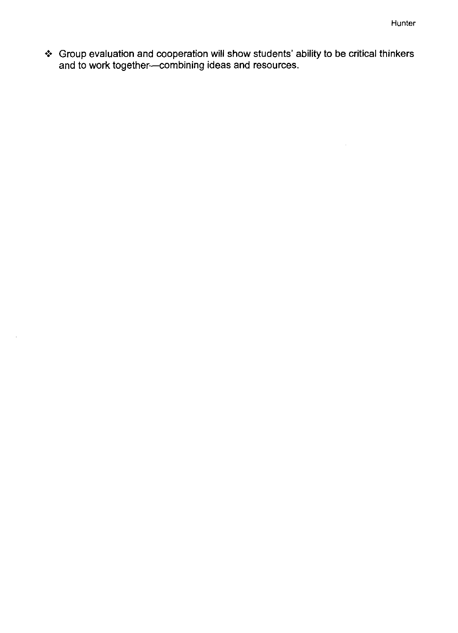$\mathcal{A}^{\mathcal{A}}$ 

❖ Group evaluation and cooperation will show students' ability to be critical thinkers and to work together--combining ideas and resources.

 $\hat{\boldsymbol{\theta}}$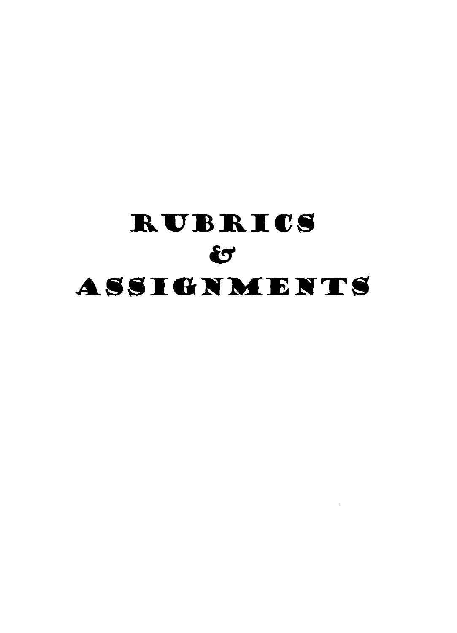# RUBRICS  $\mathbf{C}$ ASSIGNMENTS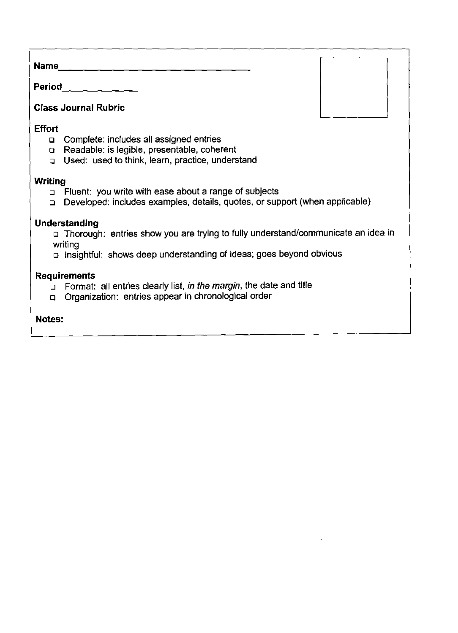Name. \_\_\_\_\_\_\_\_\_\_\_\_\_\_\_\_\_\_\_\_\_\_\_\_\_\_\_\_\_\_\_\_ \_\_

Period,  $\qquad \qquad \qquad \qquad -$ 

#### **Class Journal Rubric**

#### **Effort**

- D Complete: includes all assigned entries
- D Readable: is legible, presentable, coherent
- D Used: used to think, learn, practice, understand

#### **Writing**

- D Fluent: you write with ease about a range of subjects
- D Developed: includes examples, details, quotes, or support (when applicable)

#### **Understanding**

D Thorough: entries show you are trying to fully understand/communicate an idea in writing

D Insightful: shows deep understanding of ideas; goes beyond obvious

#### **Requirements**

- □ Format: all entries clearly list, in the margin, the date and title
- D Organization: entries appear in chronological order

#### **Notes:**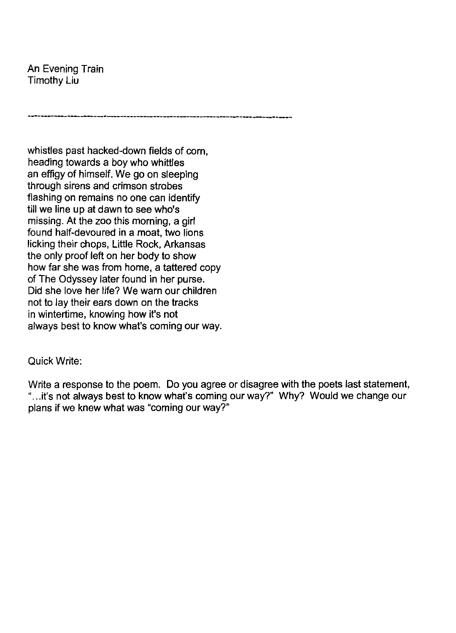An Evening Train Timothy Liu

whistles past hacked-down fields of corn, heading towards a boy who whittles an effigy of himself. We go on sleeping through sirens and crimson strobes flashing on remains no one can identify till we line up at dawn to see who's missing. At the zoo this morning, a girl found half-devoured in a moat, two lions licking their chops, Little Rock, Arkansas the only proof left on her body to show how far she was from home, a tattered copy of The Odyssey later found in her purse. Did she love her life? We warn our children not to lay their ears down on the tracks in wintertime, knowing how it's not always best to know what's coming our way.

**---------------------------------------------------------.----------.-----------**

#### Quick Write:

Write a response to the poem. Do you agree or disagree with the poets last statement, "...it's not always best to know what's coming our way?" Why? Would we change our plans if we knew what was "coming our way?"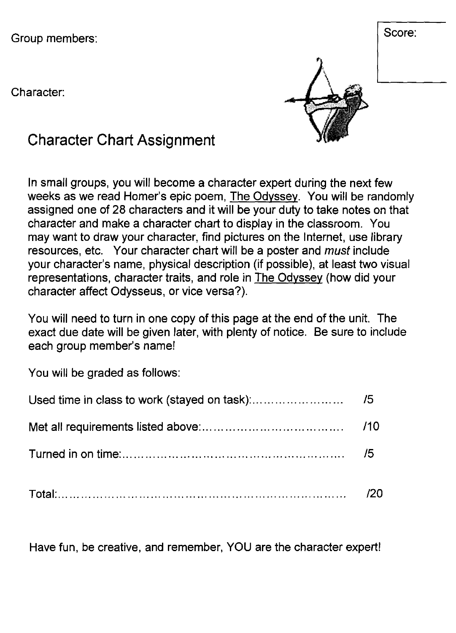Group members:  $\begin{cases}$  Score:

Character:



# **Character Chart Assignment**

In small groups, you will become a character expert during the next few weeks as we read Homer's epic poem, The Odyssey. You will be randomly assigned one of 28 characters and it will be your duty to take notes on that character and make a character chart to display in the classroom. You may want to draw your character, find pictures on the Internet, use library resources, etc. Your character chart will be a poster and *must* include your character's name, physical description (if possible), at least two visual representations, character traits, and role in The Odyssey (how did your character affect Odysseus, or vice versa?).

You will need to turn in one copy of this page at the end of the unit. The exact due date will be given later, with plenty of notice. Be sure to include each group member's name!

You will be graded as follows:

Have fun, be creative, and remember, YOU are the character expert!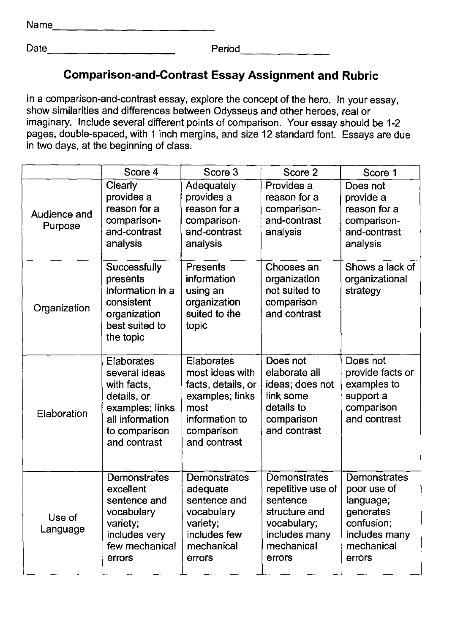Name \_\_\_\_\_\_\_\_\_\_\_\_\_\_\_\_\_\_\_\_\_\_\_\_\_\_ \_

Date \_\_\_\_\_\_\_\_\_ \_ Period \_\_\_\_\_\_\_\_\_\_\_\_\_\_ \_

#### **Comparison-and-Contrast Essay Assignment and Rubric**

In a comparison-and-contrast essay, explore the concept of the hero. In your essay, show similarities and differences between Odysseus and other heroes, real or imaginary. Include several different points of comparison. Your essay should be 1-2 pages, double-spaced, with 1 inch margins, and size 12 standard font. Essays are due in two days, at the beginning of class.

|                         | Score 4                                                                                                                          | Score 3                                                                                                                        | Score 2                                                                                                                | Score 1                                                                                                      |
|-------------------------|----------------------------------------------------------------------------------------------------------------------------------|--------------------------------------------------------------------------------------------------------------------------------|------------------------------------------------------------------------------------------------------------------------|--------------------------------------------------------------------------------------------------------------|
| Audience and<br>Purpose | Clearly<br>provides a<br>reason for a<br>comparison-<br>and-contrast<br>analysis                                                 | Adequately<br>provides a<br>reason for a<br>comparison-<br>and-contrast<br>analysis                                            | Provides a<br>reason for a<br>comparison-<br>and-contrast<br>analysis                                                  | Does not<br>provide a<br>reason for a<br>comparison-<br>and-contrast<br>analysis                             |
| Organization            | Successfully<br>presents<br>information in a<br>consistent<br>organization<br>best suited to<br>the topic                        | Presents<br>information<br>using an<br>organization<br>suited to the<br>topic                                                  | Chooses an<br>organization<br>not suited to<br>comparison<br>and contrast                                              | Shows a lack of<br>organizational<br>strategy                                                                |
| Elaboration             | Elaborates<br>several ideas<br>with facts,<br>details, or<br>examples; links<br>all information<br>to comparison<br>and contrast | Elaborates<br>most ideas with<br>facts, details, or<br>examples; links<br>most<br>information to<br>comparison<br>and contrast | Does not<br>elaborate all<br>ideas; does not<br>link some<br>details to<br>comparison<br>and contrast                  | Does not<br>provide facts or<br>examples to<br>support a<br>comparison<br>and contrast                       |
| Use of<br>Language      | <b>Demonstrates</b><br>excellent<br>sentence and<br>vocabulary<br>variety;<br>includes very<br>few mechanical<br>errors          | <b>Demonstrates</b><br>adequate<br>sentence and<br>vocabulary<br>variety;<br>includes few<br>mechanical<br>errors              | Demonstrates<br>repetitive use of<br>sentence<br>structure and<br>vocabulary;<br>includes many<br>mechanical<br>errors | Demonstrates<br>poor use of<br>language;<br>generates<br>confusion;<br>includes many<br>mechanical<br>errors |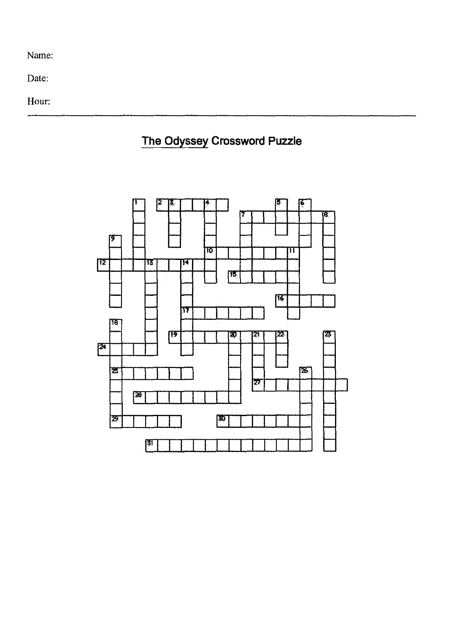Name:

Date:

Hour:



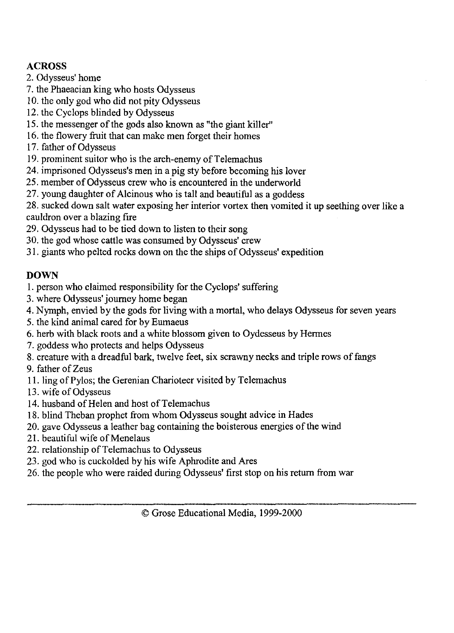#### **ACROSS**

- 2. Odysseus' home
- 7. the Phaeacian king who hosts Odysseus
- 10. the only god who did not pity Odysseus
- 12. the Cyclops blinded by Odysseus
- IS. the messenger of the gods also known as "the giant killer"
- 16. the flowery fruit that can make men forget their homes
- 17. father of Odysseus
- 19. prominent suitor who is the arch-enemy of Telemachus
- 24. imprisoned Odysseus's men in a pig sty before becoming his lover
- 25. member of Odysseus crew who is encountered in the underworld
- 27. young daughter of Alcinous who is tall and beautiful as a goddess

28. sucked down salt water exposing her interior vortex then vomited it up seething over like a cauldron over a blazing fire

- 29. Odysseus had to be tied down to listen to their song
- 30. the god whose cattle was consumed by Odysseus' crew
- 31. giants who pelted rocks down on the the ships of Odysseus' expedition

#### **DOWN**

- I. person who claimed responsibility for the Cyclops' suffering
- 3. where Odysseus' journey home began
- 4. Nymph, envied by the gods for living with a mortal, who delays Odysseus for seven years
- 5. the kind animal cared for by Eumaeus
- 6. herb with black roots and a white blossom given to Oydesseus by Hermes
- 7. goddess who protects and helps Odysseus
- 8. creature with a dreadful bark, twelve feet, six scrawny necks and triple rows of fangs
- 9. father of Zeus
- II. ling ofPylos; the Gerenian Charioteer visited by Telemachus
- 13. wife of Odysseus
- 14. husband of Helen and host of Telemachus
- 18. blind Theban prophet from whom Odysseus sought advice in Hades
- 20. gave Odysseus a leather bag containing the boisterous energies of the wind
- 21. beautiful wife of Menelaus
- 22. relationship of Telemachus to Odysseus
- 23. god who is cuckolded by his wife Aphrodite and Ares
- 26. the people who were raided during Odysseus' first stop on his return from war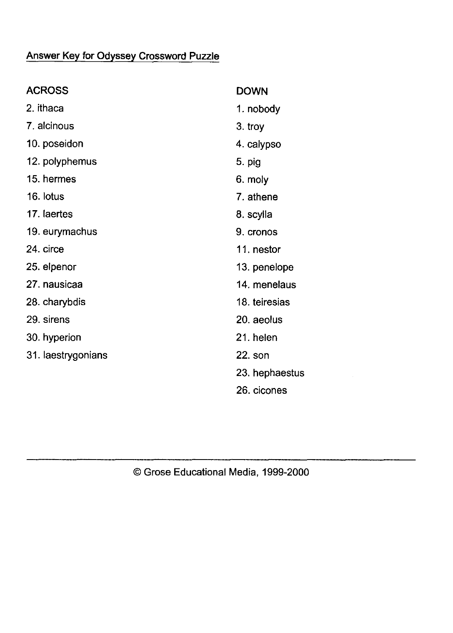## Answer Key for Odyssey Crossword Puzzle

| <b>ACROSS</b>      | <b>DOWN</b>    |
|--------------------|----------------|
| 2. ithaca          | 1. nobody      |
| 7. alcinous        | 3. troy        |
| 10. poseidon       | 4. calypso     |
| 12. polyphemus     | 5. pig         |
| 15. hermes         | 6. moly        |
| 16. lotus          | 7. athene      |
| 17. laertes        | 8. scylla      |
| 19. eurymachus     | 9. cronos      |
| 24. circe          | 11. nestor     |
| 25. elpenor        | 13. penelope   |
| 27 nausicaa        | 14. menelaus   |
| 28. charybdis      | 18. teiresias  |
| 29. sirens         | 20. aeolus     |
| 30. hyperion       | 21. helen      |
| 31. laestrygonians | $22. s$ on     |
|                    | 23. hephaestus |
|                    | 26. cicones    |

© Grose Educational Media, 1999-2000

 $\mathcal{L}^{\text{max}}_{\text{max}}$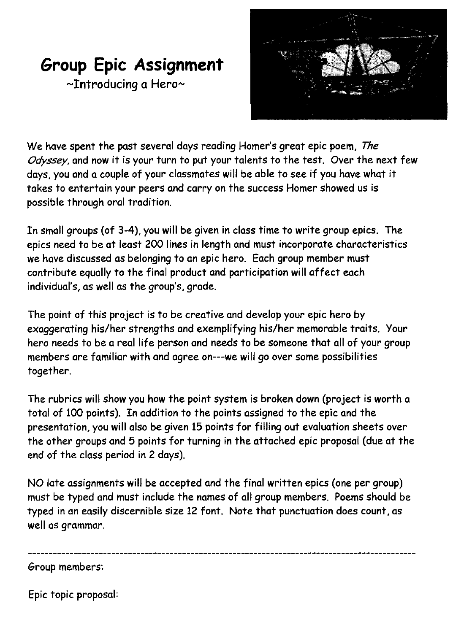# **Group Epic Assignment**

~Introducing a Hero~



We have spent the past several days reading Homer's great epic poem, *The*  Odyssey, and now it is your turn to put your talents to the test. Over the next few days, you and a couple of your classmates will be able to see if you have what it takes to entertain your peers and carryon the success Homer showed us is possible through oral tradition.

In small groups (of 3-4), you will be given in class time to write group epics. The epics need to be at least 200 lines in length and must incorporate characteristics we have discussed as belonging to an epic hero. Each group member must contribute equally to the final product and participation will affect each individual's, as well as the group's, grade.

The point of this project is to be creative and develop your epic hero by exaggerating his/her strengths and exemplifying his/her memorable traits. Your hero needs to be a real life person and needs to be someone that all of your group members are familiar with and agree on---we will go over some possibilities together.

The rubrics will show you how the point system is broken down (project is worth a total of 100 points). In addition to the points assigned to the epic and the presentation, you will also be given 15 points for filling out evaluation sheets over the other groups and 5 points for turning in the attached epic proposal (due at the end of the class period in 2 days).

NO late assignments will be accepted and the final written epics (one per group) must be typed and must include the names of all group members. Poems should be typed in an easily discernible size 12 font. Note that punctuation does count, as well as grammar.

Group members:

Epic topic proposal: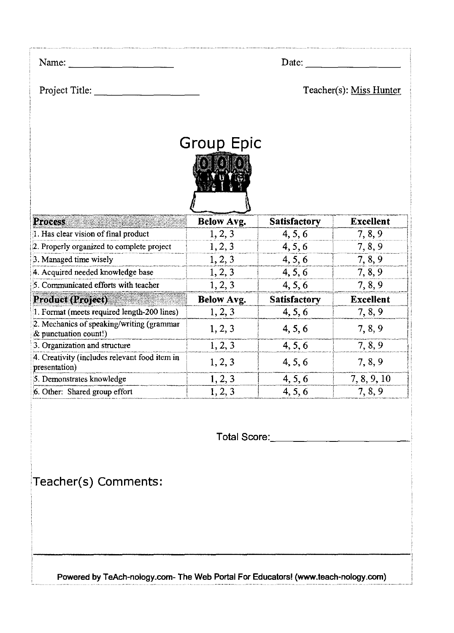| Name:                                                              |                   | Date:               |                         |
|--------------------------------------------------------------------|-------------------|---------------------|-------------------------|
| Project Title:                                                     |                   |                     | Teacher(s): Miss Hunter |
|                                                                    | Group Epic        |                     |                         |
| <b>Process</b>                                                     | <b>Below Avg.</b> | <b>Satisfactory</b> | <b>Excellent</b>        |
| 1. Has clear vision of final product                               | 1, 2, 3           | 4, 5, 6             | 7, 8, 9                 |
| 2. Properly organized to complete project                          | 1, 2, 3           | 4, 5, 6             | 7, 8, 9                 |
| 3. Managed time wisely                                             | 1, 2, 3           | 4, 5, 6             | 7, 8, 9                 |
| 4. Acquired needed knowledge base                                  | 1, 2, 3           | 4, 5, 6             | 7, 8, 9                 |
| 5. Communicated efforts with teacher                               | 1, 2, 3           | 4, 5, 6             | 7, 8, 9                 |
| Product (Project)                                                  | <b>Below Avg.</b> | <b>Satisfactory</b> | <b>Excellent</b>        |
| 1. Format (meets required length-200 lines)                        | 1, 2, 3           | 4, 5, 6             | 7, 8, 9                 |
| 2. Mechanics of speaking/writing (grammar<br>& punctuation count!) | 1, 2, 3           | 4, 5, 6             | 7, 8, 9                 |
| 3. Organization and structure                                      | 1, 2, 3           | 4, 5, 6             | 7, 8, 9                 |
| 4. Creativity (includes relevant food item in<br>presentation)     | 1, 2, 3           | 4, 5, 6             | 7, 8, 9                 |
| 5. Demonstrates knowledge                                          | 1, 2, 3           | 4, 5, 6             | 7, 8, 9, 10             |
| 6. Other: Shared group effort                                      | 1, 2, 3           | 4, 5, 6             | 7, 8, 9                 |

**Total** Score: \_\_\_\_\_\_\_\_\_\_\_ \_\_

**Teacher(s) Comments:** 

Powered by TeAch-nology.com- The Web Portal For Educators! (www.teach-nology.com)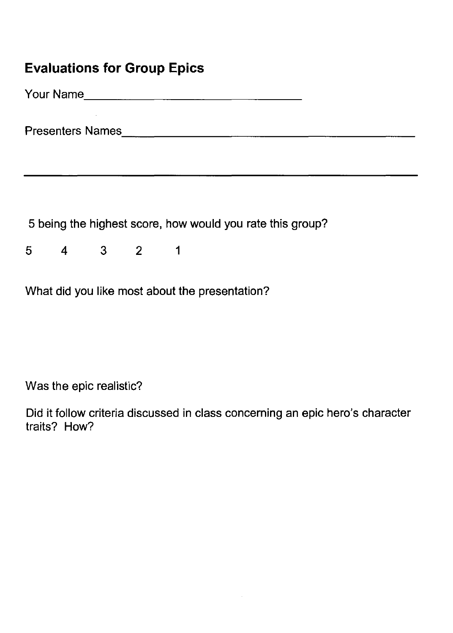## **Evaluations for Group Epics**

YourName \_\_\_\_\_\_\_\_\_\_\_\_\_\_\_\_\_\_\_\_\_\_\_\_\_\_\_\_ \_\_

Presenters Names. \_\_\_\_\_\_\_\_\_\_\_\_\_\_\_\_\_\_\_\_\_\_\_\_\_\_\_\_\_\_\_\_\_\_\_\_\_\_ \_

5 being the highest score, how would you rate this group?

5 4 3 2 1

What did you like most about the presentation?

Was the epic realistic?

Did it follow criteria discussed in class concerning an epic hero's character traits? How?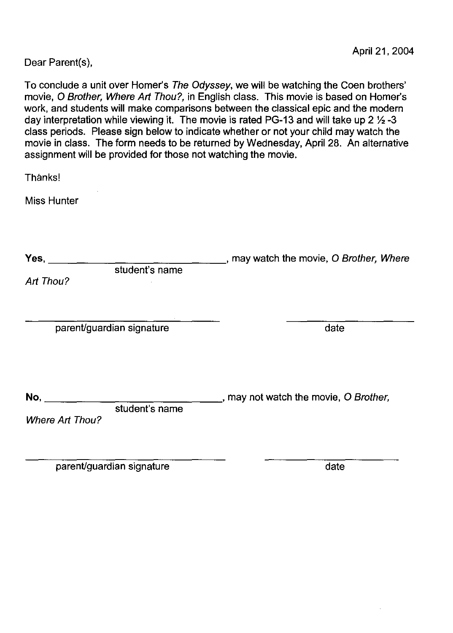Dear Parent(s),

To conclude a unit over Homer's The Odyssey, we will be watching the Coen brothers' movie, 0 Brother, Where Art Thou?, in English class. This movie is based on Homer's work, and students will make comparisons between the classical epic and the modern day interpretation while viewing it. The movie is rated PG-13 and will take up 2  $\frac{1}{2}$ -3 class periods. Please sign below to indicate whether or not your child may watch the movie in class. The form needs to be returned by Wednesday, April 28. An alternative assignment will be provided for those not watching the movie.

Thanks!

Miss Hunter

| , may watch the movie, O Brother, Where |
|-----------------------------------------|
|                                         |
| date                                    |
| , may not watch the movie, O Brother,   |
|                                         |

parent/guardian signature date date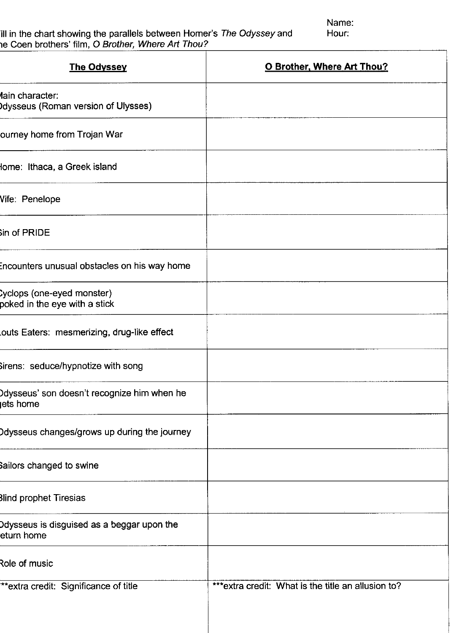ill in the chart showing the parallels between Homer's The Odyssey and  $\qquad \qquad$  Hour: le Coen brothers' film, O Brother, Where Art Thou?

Name:<br>Hour:

| <b>The Odyssey</b>                                          | <b>O Brother, Where Art Thou?</b>                   |
|-------------------------------------------------------------|-----------------------------------------------------|
| lain character:<br>dysseus (Roman version of Ulysses)       |                                                     |
| ourney home from Trojan War                                 |                                                     |
| lome: Ithaca, a Greek island                                |                                                     |
| Vife: Penelope                                              |                                                     |
| in of PRIDE                                                 |                                                     |
| Encounters unusual obstacles on his way home                |                                                     |
| cyclops (one-eyed monster)<br>poked in the eye with a stick |                                                     |
| outs Eaters: mesmerizing, drug-like effect                  |                                                     |
| Sirens: seduce/hypnotize with song                          |                                                     |
| Odysseus' son doesn't recognize him when he<br>ets home     |                                                     |
| Odysseus changes/grows up during the journey                |                                                     |
| sailors changed to swine                                    |                                                     |
| Blind prophet Tiresias                                      |                                                     |
| Odysseus is disguised as a beggar upon the<br>eturn home    |                                                     |
| Role of music                                               |                                                     |
| ** extra credit: Significance of title                      | *** extra credit: What is the title an allusion to? |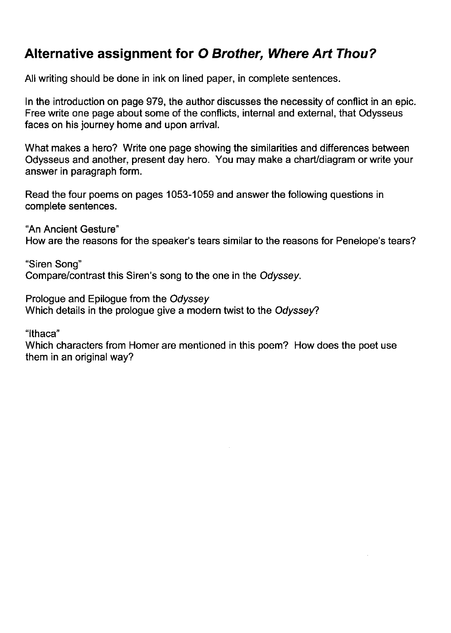## **Alternative assignment for 0 Brother, Where Art Thou?**

All writing should be done in ink on lined paper, in complete sentences.

In the introduction on page 979, the author discusses the necessity of conflict in an epic. Free write one page about some of the conflicts, internal and external, that Odysseus faces on his journey home and upon arrival.

What makes a hero? Write one page showing the similarities and differences between Odysseus and another, present day hero. You may make a chart/diagram or write your answer in paragraph form.

Read the four poems on pages 1053-1059 and answer the following questions in complete sentences.

"An Ancient Gesture" How are the reasons for the speaker's tears similar to the reasons for Penelope's tears?

"Siren Song" Compare/contrast this Siren's song to the one in the Odyssey.

Prologue and Epilogue from the Odyssey Which details in the prologue give a modern twist to the Odyssey?

"Ithaca"

Which characters from Homer are mentioned in this poem? How does the poet use them in an original way?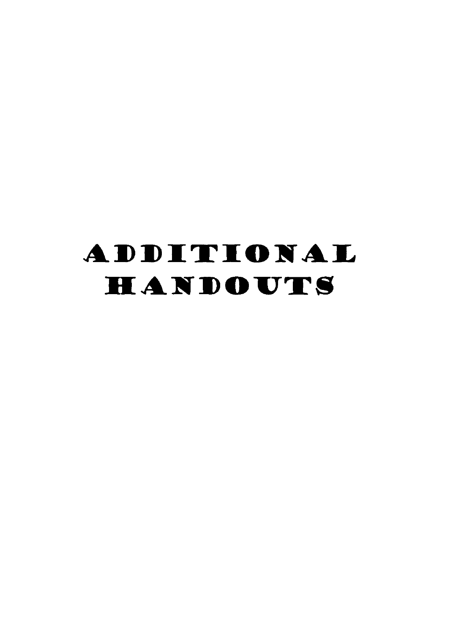# ADDITIONAL HANDOUTS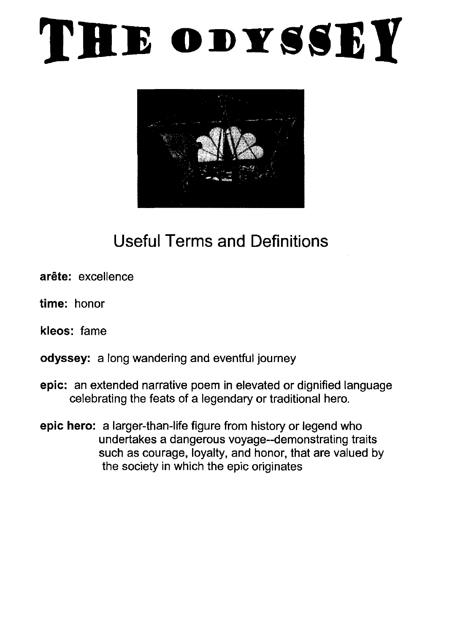# THE ODYSSEY



# Useful Terms and Definitions

- arête: excellence
- time: honor
- kleos: fame
- odyssey: a long wandering and eventful journey
- epic: an extended narrative poem in elevated or dignified language celebrating the feats of a legendary or traditional hero.
- epic hero: a larger-than-life figure from history or legend who undertakes a dangerous voyage--demonstrating traits such as courage, loyalty, and honor, that are valued by the society in which the epic originates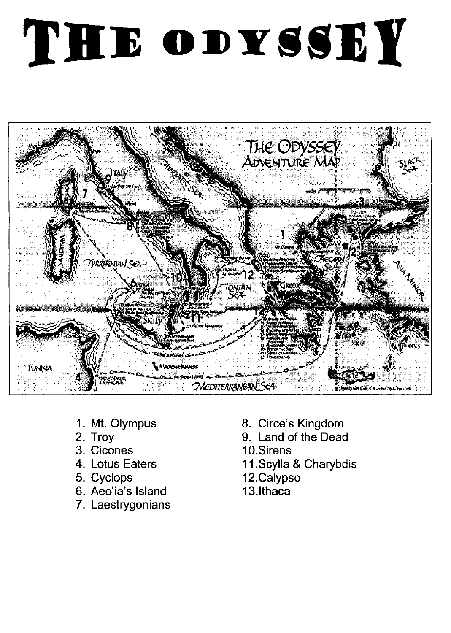# THE ODYSSEY



- 1. Mt. Olympus
- 2. Troy
- 3. Cicones
- 4. Lotus Eaters
- 5. Cyclops
- 6. Aeolia's Island
- 7. Laestrygonians
- 8. Circe's Kingdom
- 9. Land of the Dead
- 10.Sirens
- 11.Scylla & Charybdis
- 12.Calypso
- 13.Ithaca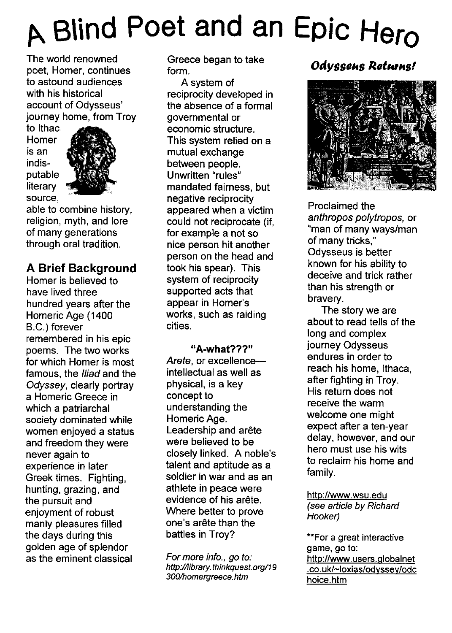# <sup>~</sup>**B\\nd Poet and an Epic Hero**

The world renowned poet, Homer, continues to astound audiences with his historical account of Odysseus' journey home, from Troy

to Ithac Homer is an indisputable literary source,



able to combine history, religion, myth, and lore of many generations through oral tradition.

#### **A Brief Background**

Homer is believed to have lived three hundred years after the Homeric Age (1400 B.C.) forever remembered in his epic poems. The two works for which Homer is most famous, the *Iliad* and the Odyssey, clearly portray a Homeric Greece in which a patriarchal society dominated while women enjoyed a status and freedom they were never again to experience in later Greek times. Fighting, hunting, grazing, and the pursuit and enjoyment of robust manly pleasures filled the days during this golden age of splendor as the eminent classical

Greece began to take form.

A system of reciprocity developed in the absence of a formal governmental or economic structure. This system relied on a mutual exchange between people. Unwritten "rules" mandated fairness, but negative reciprocity appeared when a victim could not reciprocate (if, for example a not so nice person hit another person on the head and took his spear). This system of reciprocity supported acts that appear in Homer's works, such as raiding cities.

"A-what???" Arete, or excellenceintellectual as well as physical, is a key concept to understanding the Homeric Age. Leadership and arête were believed to be closely linked. A noble's talent and aptitude as a soldier in war and as an athlete in peace were evidence of his arête. Where better to prove one's arete than the battles in Troy?

For more info., go to: http://library.thinkquest. org/19 300/homergreece.htm

## **Odyssens Returns!**



Proclaimed the anthropos po/ytropos, or "man of many ways/man of many tricks," Odysseus is better known for his ability to deceive and trick rather than his strength or bravery.

The story we are about to read tells of the long and complex journey Odysseus endures in order to reach his home, Ithaca, after fighting in Troy. His return does not receive the warm welcome one might expect after a ten-year delay, however, and our hero must use his wits to reclaim his home and family.

http://www.wsu.edu (see article by Richard Hooker)

\*\*For a great interactive game, go to: http://www.users.globalnet .co.ukl-loxias/odyssey/odc hoice.htm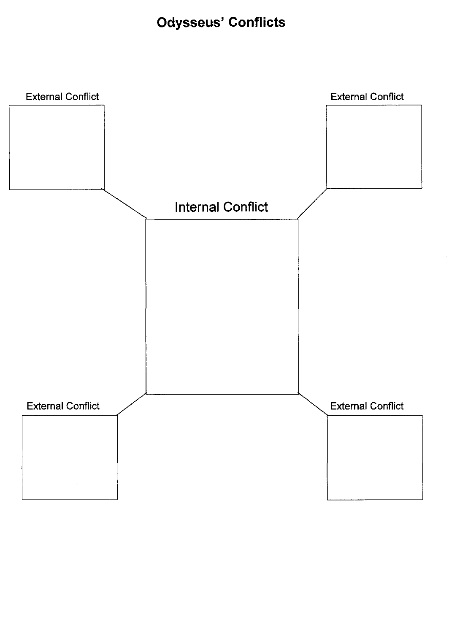# **Odysseus' Conflicts**

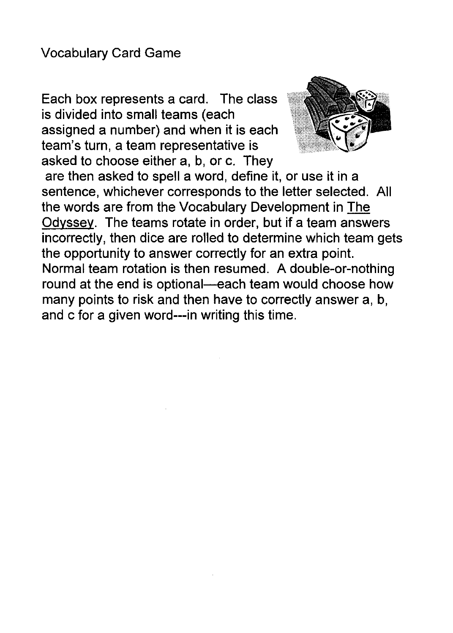Each box represents a card. The class is divided into small teams (each assigned a number) and when it is each team's turn, a team representative is asked to choose either a, b, or c. They



are then asked to spell a word, define it, or use it in a sentence, whichever corresponds to the letter selected. All the words are from the Vocabulary Development in The Odyssey. The teams rotate in order, but if a team answers incorrectly, then dice are rolled to determine which team gets the opportunity to answer correctly for an extra point. Normal team rotation is then resumed. A double-or-nothing round at the end is optional-each team would choose how many points to risk and then have to correctly answer a, b, and c for a given word---in writing this time.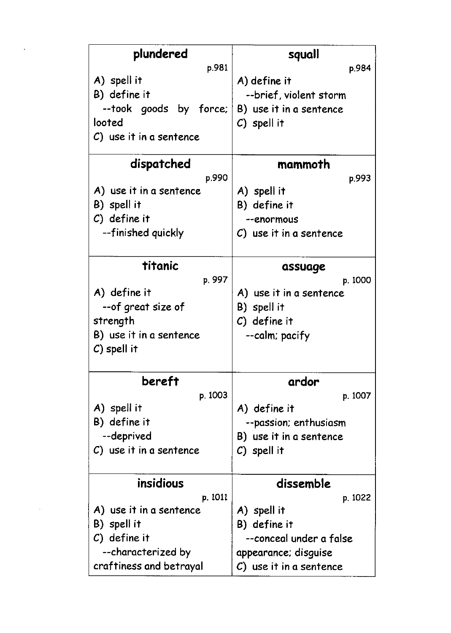| plundered               | squall                     |
|-------------------------|----------------------------|
| p.981                   | p.984                      |
| A) spell it             | A) define it               |
| B) define it            | --brief, violent storm     |
| --took goods by force;  | B) use it in a sentence    |
| looted                  | $C)$ spell it              |
| C) use it in a sentence |                            |
| dispatched              | mammoth                    |
| p.990                   | p.993                      |
| A) use it in a sentence | A) spell it                |
| B) spell it             | B) define it               |
| $C)$ define it          | --enormous                 |
| --finished quickly      | $C$ ) use it in a sentence |
|                         |                            |
| titanic                 | assuage                    |
| p. 997                  | p. 1000                    |
| A) define it            | A) use it in a sentence    |
| --of great size of      | B) spell it                |
| strength                | $C)$ define it             |
| B) use it in a sentence | --calm; pacify             |
| $C$ ) spell it          |                            |
|                         |                            |
| bereft                  | ardor                      |
| p. 1003                 | p. 1007                    |
| A) spell it             | A) define it               |
| B) define it            | --passion; enthusiasm      |
| --deprived              | B) use it in a sentence    |
| C) use it in a sentence | $C)$ spell it              |
|                         |                            |
| insidious               | dissemble                  |
| p. 1011                 | p. 1022                    |
| A) use it in a sentence | A) spell it                |
| B) spell it             | B) define it               |
| $C)$ define it          | --conceal under a false    |
| --characterized by      | appearance; disguise       |
| craftiness and betrayal | C) use it in a sentence    |

 $\Delta \sim 10^{11}$  m  $^{-1}$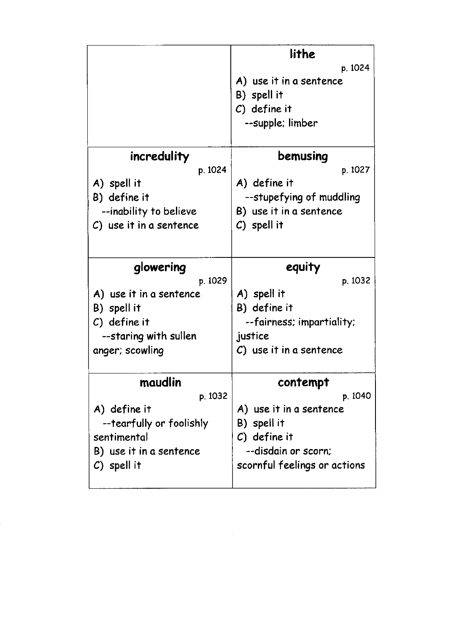|                            | lithe                        |
|----------------------------|------------------------------|
|                            | p. 1024                      |
|                            | A) use it in a sentence      |
|                            | B) spell it                  |
|                            | $C)$ define it               |
|                            | --supple; limber             |
| incredulity                | bemusing                     |
| p. 1024                    | p. 1027                      |
| A) spell it                | A) define it                 |
| B) define it               | --stupefying of muddling     |
| --inability to believe     | B) use it in a sentence      |
| $C$ ) use it in a sentence | $C)$ spell it                |
|                            | equity                       |
| glowering<br>p. 1029       | p. 1032                      |
| A) use it in a sentence    | A) spell it                  |
| B) spell it                | B) define it                 |
| $C)$ define it             | --fairness; impartiality;    |
| --staring with sullen      | justice                      |
| anger; scowling            | C) use it in a sentence      |
| maudlin                    | contempt                     |
| p. 1032                    | p. 1040                      |
| A) define it               | A) use it in a sentence      |
| --tearfully or foolishly   | B) spell it                  |
| sentimental                | $C)$ define it               |
| B) use it in a sentence    | --disdain or scorn;          |
| $C)$ spell it              | scornful feelings or actions |

 $\label{eq:2.1} \frac{1}{\sqrt{2}}\left(\frac{1}{\sqrt{2}}\right)^{2} \left(\frac{1}{\sqrt{2}}\right)^{2} \left(\frac{1}{\sqrt{2}}\right)^{2} \left(\frac{1}{\sqrt{2}}\right)^{2} \left(\frac{1}{\sqrt{2}}\right)^{2} \left(\frac{1}{\sqrt{2}}\right)^{2} \left(\frac{1}{\sqrt{2}}\right)^{2} \left(\frac{1}{\sqrt{2}}\right)^{2} \left(\frac{1}{\sqrt{2}}\right)^{2} \left(\frac{1}{\sqrt{2}}\right)^{2} \left(\frac{1}{\sqrt{2}}\right)^{2} \left(\$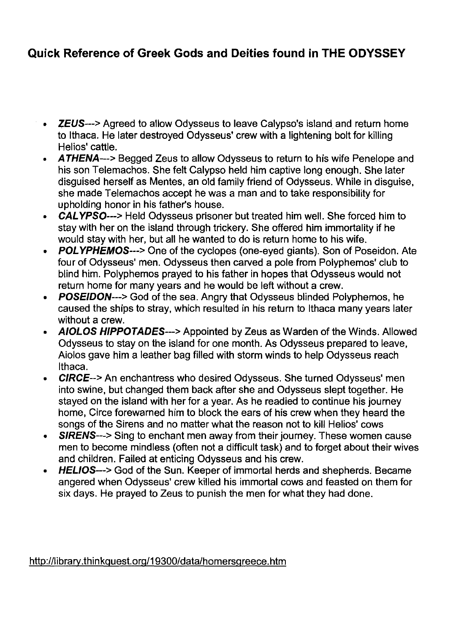#### **Quick Reference of Greek Gods and Deities found in THE ODYSSEY**

- **ZEUS--->** Agreed to allow Odysseus to leave Calypso's island and return home to Ithaca. He later destroyed Odysseus' crew with a lightening bolt for killing Helios' cattle.
- **ATHENA---> Begged Zeus to allow Odysseus to return to his wife Penelope and** his son Telemachos. She felt Calypso held him captive long enough. She later disguised herself as Mentes, an old family friend of Odysseus. While in disguise, she made Telemachos accept he was a man and to take responsibility for upholding honor in his father's house.
- **CAL** YPSO---> Held Odysseus prisoner but treated him well. She forced him to stay with her on the island through trickery. She offered him immortality if he would stay with her, but all he wanted to do is return home to his wife.
- **POLYPHEMOS--->** One of the cyclopes (one-eyed giants). Son of Poseidon. Ate four of Odysseus' men. Odysseus then carved a pole from Polyphemos' club to blind him. Polyphemos prayed to his father in hopes that Odysseus would not return home for many years and he would be left without a crew.
- POSEIDON--> God of the sea. Angry that Odysseus blinded Polyphemos, he caused the ships to stray, which resulted in his return to Ithaca many years later without a crew.
- **AIOLOS** HIPPOTADES---> Appointed by Zeus as Warden of the Winds. Allowed Odysseus to stay on the island for one month. As Odysseus prepared to leave, Aiolos gave him a leather bag filled with storm winds to help Odysseus reach Ithaca.
- **CIRCE-->** An enchantress who desired Odysseus. She turned Odysseus' men into swine, but changed them back after she and Odysseus slept together. He stayed on the island with her for a year. As he readied to continue his journey home, Circe forewarned him to block the ears of his crew when they heard the songs of the Sirens and no matter what the reason not to kill Helios' cows
- SIRENS--> Sing to enchant men away from their journey. These women cause men to become mindless (often not a difficult task) and to forget about their wives and children. Failed at enticing Odysseus and his crew.
- HELlOS--> God of the Sun. Keeper of immortal herds and shepherds. Became angered when Odysseus' crew killed his immortal cows and feasted on them for six days. He prayed to Zeus to punish the men for what they had done.

#### http://librarv.thinkguest.org/19300/data/homersgreece.htm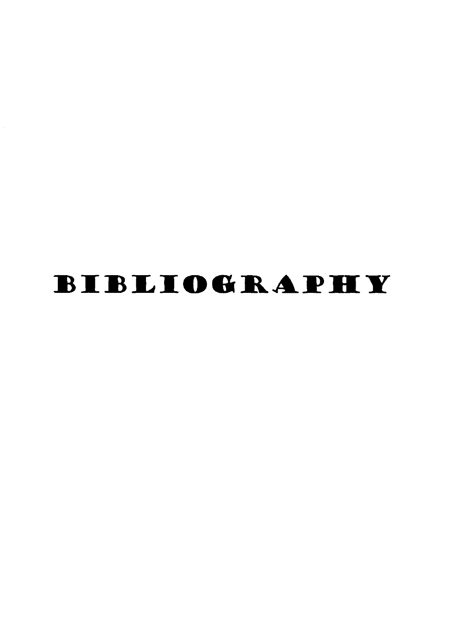# **BIBLIOGRAPHY**